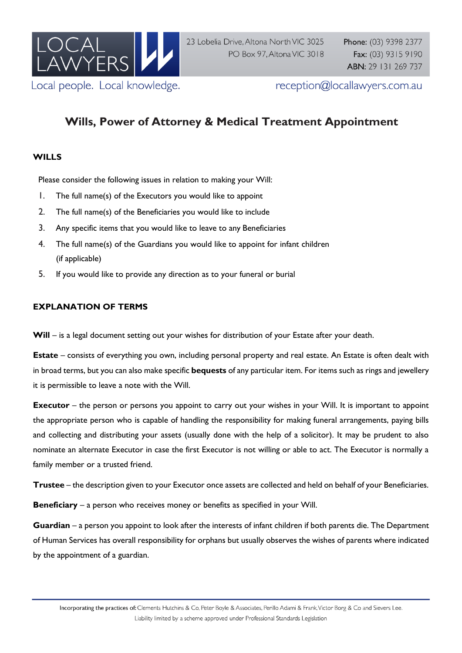

reception@locallawyers.com.au

# **Wills, Power of Attorney & Medical Treatment Appointment**

## **WILLS**

Please consider the following issues in relation to making your Will:

- 1. The full name(s) of the Executors you would like to appoint
- 2. The full name(s) of the Beneficiaries you would like to include
- 3. Any specific items that you would like to leave to any Beneficiaries
- 4. The full name(s) of the Guardians you would like to appoint for infant children (if applicable)
- 5. If you would like to provide any direction as to your funeral or burial

#### **EXPLANATION OF TERMS**

Will – is a legal document setting out your wishes for distribution of your Estate after your death.

**Estate** – consists of everything you own, including personal property and real estate. An Estate is often dealt with in broad terms, but you can also make specific **bequests** of any particular item. For items such as rings and jewellery it is permissible to leave a note with the Will.

**Executor** – the person or persons you appoint to carry out your wishes in your Will. It is important to appoint the appropriate person who is capable of handling the responsibility for making funeral arrangements, paying bills and collecting and distributing your assets (usually done with the help of a solicitor). It may be prudent to also nominate an alternate Executor in case the first Executor is not willing or able to act. The Executor is normally a family member or a trusted friend.

**Trustee** – the description given to your Executor once assets are collected and held on behalf of your Beneficiaries.

**Beneficiary** – a person who receives money or benefits as specified in your Will.

**Guardian** – a person you appoint to look after the interests of infant children if both parents die. The Department of Human Services has overall responsibility for orphans but usually observes the wishes of parents where indicated by the appointment of a guardian.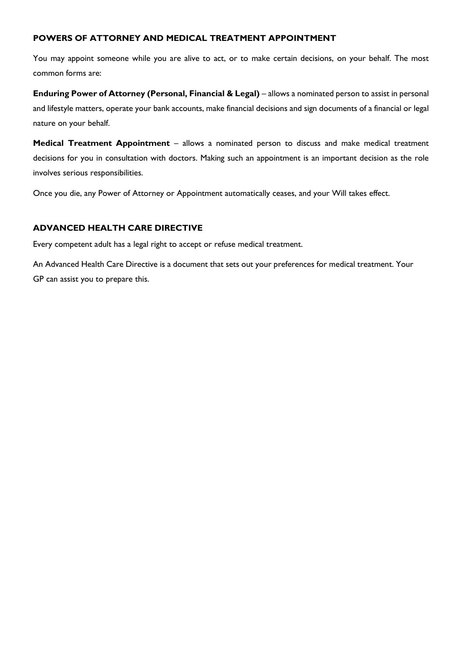### **POWERS OF ATTORNEY AND MEDICAL TREATMENT APPOINTMENT**

You may appoint someone while you are alive to act, or to make certain decisions, on your behalf. The most common forms are:

**Enduring Power of Attorney (Personal, Financial & Legal)** – allows a nominated person to assist in personal and lifestyle matters, operate your bank accounts, make financial decisions and sign documents of a financial or legal nature on your behalf.

**Medical Treatment Appointment** – allows a nominated person to discuss and make medical treatment decisions for you in consultation with doctors. Making such an appointment is an important decision as the role involves serious responsibilities.

Once you die, any Power of Attorney or Appointment automatically ceases, and your Will takes effect.

#### **ADVANCED HEALTH CARE DIRECTIVE**

Every competent adult has a legal right to accept or refuse medical treatment.

An Advanced Health Care Directive is a document that sets out your preferences for medical treatment. Your GP can assist you to prepare this.